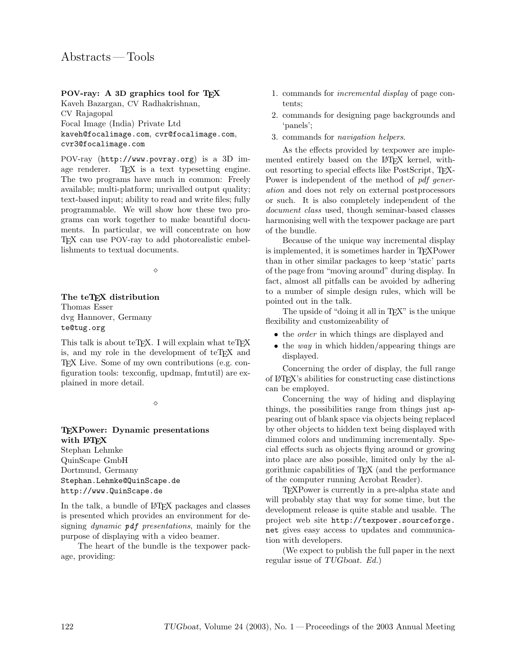## POV-ray: A 3D graphics tool for TFX

Kaveh Bazargan, CV Radhakrishnan, CV Rajagopal Focal Image (India) Private Ltd kaveh@focalimage.com, cvr@focalimage.com, cvr3@focalimage.com

POV-ray (http://www.povray.org) is a 3D image renderer. T<sub>F</sub>X is a text typesetting engine. The two programs have much in common: Freely available; multi-platform; unrivalled output quality; text-based input; ability to read and write files; fully programmable. We will show how these two programs can work together to make beautiful documents. In particular, we will concentrate on how TEX can use POV-ray to add photorealistic embellishments to textual documents.

 $\Diamond$ 

## The teTFX distribution Thomas Esser

dvg Hannover, Germany te@tug.org

This talk is about teT<sub>E</sub>X. I will explain what teT<sub>E</sub>X is, and my role in the development of teTFX and TEX Live. Some of my own contributions (e.g. configuration tools: texconfig, updmap, fmtutil) are explained in more detail.

 $\Diamond$ 

## TEXPower: Dynamic presentations with L<sup>AT</sup>EX Stephan Lehmke QuinScape GmbH Dortmund, Germany

Stephan.Lehmke@QuinScape.de http://www.QuinScape.de

In the talk, a bundle of LAT<sub>EX</sub> packages and classes is presented which provides an environment for designing dynamic pdf presentations, mainly for the purpose of displaying with a video beamer.

The heart of the bundle is the texpower package, providing:

- 1. commands for incremental display of page contents;
- 2. commands for designing page backgrounds and 'panels';
- 3. commands for navigation helpers.

As the effects provided by texpower are implemented entirely based on the LAT<sub>EX</sub> kernel, without resorting to special effects like PostScript, T<sub>E</sub>X-Power is independent of the method of *pdf gener*ation and does not rely on external postprocessors or such. It is also completely independent of the document class used, though seminar-based classes harmonising well with the texpower package are part of the bundle.

Because of the unique way incremental display is implemented, it is sometimes harder in TEXPower than in other similar packages to keep 'static' parts of the page from "moving around" during display. In fact, almost all pitfalls can be avoided by adhering to a number of simple design rules, which will be pointed out in the talk.

The upside of "doing it all in T<sub>E</sub>X" is the unique flexibility and customizeability of

- the *order* in which things are displayed and
- $\bullet$  the way in which hidden/appearing things are displayed.

Concerning the order of display, the full range of LATEX's abilities for constructing case distinctions can be employed.

Concerning the way of hiding and displaying things, the possibilities range from things just appearing out of blank space via objects being replaced by other objects to hidden text being displayed with dimmed colors and undimming incrementally. Special effects such as objects flying around or growing into place are also possible, limited only by the algorithmic capabilities of TEX (and the performance of the computer running Acrobat Reader).

TEXPower is currently in a pre-alpha state and will probably stay that way for some time, but the development release is quite stable and usable. The project web site http://texpower.sourceforge. net gives easy access to updates and communication with developers.

(We expect to publish the full paper in the next regular issue of TUGboat. Ed.)